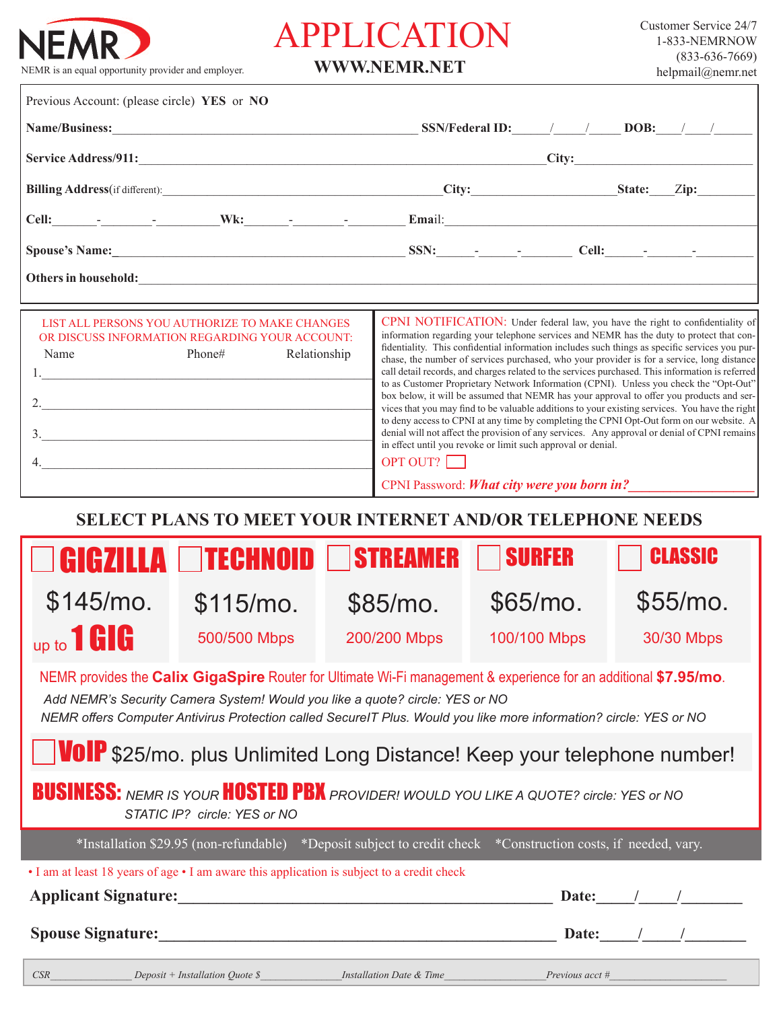

## APPLICATION

**WWW.NEMR.NET**

| Previous Account: (please circle) YES or NO                                                                                                                                                                                                                                                                            |                                                                                                               |  |                                                                                                                                                                                                                                                                                                                                                                                                                                                                                                                                                                                                                                                                                                                                                                                                                                                                                                                                                                                                                                                                                                                                                                 |              |               |  |                |
|------------------------------------------------------------------------------------------------------------------------------------------------------------------------------------------------------------------------------------------------------------------------------------------------------------------------|---------------------------------------------------------------------------------------------------------------|--|-----------------------------------------------------------------------------------------------------------------------------------------------------------------------------------------------------------------------------------------------------------------------------------------------------------------------------------------------------------------------------------------------------------------------------------------------------------------------------------------------------------------------------------------------------------------------------------------------------------------------------------------------------------------------------------------------------------------------------------------------------------------------------------------------------------------------------------------------------------------------------------------------------------------------------------------------------------------------------------------------------------------------------------------------------------------------------------------------------------------------------------------------------------------|--------------|---------------|--|----------------|
|                                                                                                                                                                                                                                                                                                                        |                                                                                                               |  |                                                                                                                                                                                                                                                                                                                                                                                                                                                                                                                                                                                                                                                                                                                                                                                                                                                                                                                                                                                                                                                                                                                                                                 |              |               |  |                |
|                                                                                                                                                                                                                                                                                                                        |                                                                                                               |  |                                                                                                                                                                                                                                                                                                                                                                                                                                                                                                                                                                                                                                                                                                                                                                                                                                                                                                                                                                                                                                                                                                                                                                 |              |               |  |                |
|                                                                                                                                                                                                                                                                                                                        |                                                                                                               |  |                                                                                                                                                                                                                                                                                                                                                                                                                                                                                                                                                                                                                                                                                                                                                                                                                                                                                                                                                                                                                                                                                                                                                                 |              |               |  |                |
|                                                                                                                                                                                                                                                                                                                        |                                                                                                               |  |                                                                                                                                                                                                                                                                                                                                                                                                                                                                                                                                                                                                                                                                                                                                                                                                                                                                                                                                                                                                                                                                                                                                                                 |              |               |  |                |
|                                                                                                                                                                                                                                                                                                                        |                                                                                                               |  |                                                                                                                                                                                                                                                                                                                                                                                                                                                                                                                                                                                                                                                                                                                                                                                                                                                                                                                                                                                                                                                                                                                                                                 |              |               |  |                |
| Others in household: <u>All and the contract of the contract of the contract of the contract of the contract of the contract of the contract of the contract of the contract of the contract of the contract of the contract of </u>                                                                                   |                                                                                                               |  |                                                                                                                                                                                                                                                                                                                                                                                                                                                                                                                                                                                                                                                                                                                                                                                                                                                                                                                                                                                                                                                                                                                                                                 |              |               |  |                |
| LIST ALL PERSONS YOU AUTHORIZE TO MAKE CHANGES<br>OR DISCUSS INFORMATION REGARDING YOUR ACCOUNT:<br>Phone#<br>Relationship<br>Name<br>2. $\qquad \qquad$<br>$\overline{\mathbf{3}}$ .                                                                                                                                  |                                                                                                               |  | CPNI NOTIFICATION: Under federal law, you have the right to confidentiality of<br>information regarding your telephone services and NEMR has the duty to protect that con-<br>fidentiality. This confidential information includes such things as specific services you pur-<br>chase, the number of services purchased, who your provider is for a service, long distance<br>call detail records, and charges related to the services purchased. This information is referred<br>to as Customer Proprietary Network Information (CPNI). Unless you check the "Opt-Out"<br>box below, it will be assumed that NEMR has your approval to offer you products and ser-<br>vices that you may find to be valuable additions to your existing services. You have the right<br>to deny access to CPNI at any time by completing the CPNI Opt-Out form on our website. A<br>denial will not affect the provision of any services. Any approval or denial of CPNI remains<br>in effect until you revoke or limit such approval or denial.<br>OPT OUT?<br>CPNI Password: What city were you born in?<br><b>SELECT PLANS TO MEET YOUR INTERNET AND/OR TELEPHONE NEEDS</b> |              |               |  |                |
| $\mathbf{I}$                                                                                                                                                                                                                                                                                                           | I ITECHNOID I I                                                                                               |  | <b>STREAMER</b>                                                                                                                                                                                                                                                                                                                                                                                                                                                                                                                                                                                                                                                                                                                                                                                                                                                                                                                                                                                                                                                                                                                                                 |              | <b>SURFER</b> |  | <b>CLASSIC</b> |
| $$145/mo$ .                                                                                                                                                                                                                                                                                                            | $$115/mo$ .                                                                                                   |  | $$85/mo$ .                                                                                                                                                                                                                                                                                                                                                                                                                                                                                                                                                                                                                                                                                                                                                                                                                                                                                                                                                                                                                                                                                                                                                      | $$65/mo$ .   |               |  | $$55/mo$ .     |
| up to 1 GIG                                                                                                                                                                                                                                                                                                            | 500/500 Mbps                                                                                                  |  | 200/200 Mbps                                                                                                                                                                                                                                                                                                                                                                                                                                                                                                                                                                                                                                                                                                                                                                                                                                                                                                                                                                                                                                                                                                                                                    | 100/100 Mbps |               |  | 30/30 Mbps     |
| NEMR provides the Calix GigaSpire Router for Ultimate Wi-Fi management & experience for an additional \$7.95/mo.<br>Add NEMR's Security Camera System! Would you like a quote? circle: YES or NO<br>NEMR offers Computer Antivirus Protection called SecureIT Plus. Would you like more information? circle: YES or NO |                                                                                                               |  |                                                                                                                                                                                                                                                                                                                                                                                                                                                                                                                                                                                                                                                                                                                                                                                                                                                                                                                                                                                                                                                                                                                                                                 |              |               |  |                |
| <b>VOIP</b> \$25/mo. plus Unlimited Long Distance! Keep your telephone number!                                                                                                                                                                                                                                         |                                                                                                               |  |                                                                                                                                                                                                                                                                                                                                                                                                                                                                                                                                                                                                                                                                                                                                                                                                                                                                                                                                                                                                                                                                                                                                                                 |              |               |  |                |
| <b>BUSINESS:</b> NEMR IS YOUR <b>HOSTED PBK</b> PROVIDER! WOULD YOU LIKE A QUOTE? circle: YES or NO<br>STATIC IP? circle: YES or NO                                                                                                                                                                                    |                                                                                                               |  |                                                                                                                                                                                                                                                                                                                                                                                                                                                                                                                                                                                                                                                                                                                                                                                                                                                                                                                                                                                                                                                                                                                                                                 |              |               |  |                |
|                                                                                                                                                                                                                                                                                                                        | *Installation \$29.95 (non-refundable) *Deposit subject to credit check *Construction costs, if needed, vary. |  |                                                                                                                                                                                                                                                                                                                                                                                                                                                                                                                                                                                                                                                                                                                                                                                                                                                                                                                                                                                                                                                                                                                                                                 |              |               |  |                |
| • I am at least 18 years of age • I am aware this application is subject to a credit check<br>Date: $\frac{1}{\sqrt{2\pi}}$                                                                                                                                                                                            |                                                                                                               |  |                                                                                                                                                                                                                                                                                                                                                                                                                                                                                                                                                                                                                                                                                                                                                                                                                                                                                                                                                                                                                                                                                                                                                                 |              |               |  |                |
|                                                                                                                                                                                                                                                                                                                        |                                                                                                               |  |                                                                                                                                                                                                                                                                                                                                                                                                                                                                                                                                                                                                                                                                                                                                                                                                                                                                                                                                                                                                                                                                                                                                                                 |              |               |  |                |

*CSR\_\_\_\_\_\_\_\_\_\_\_\_\_\_\_\_ Deposit + Installation Quote \$\_\_\_\_\_\_\_\_\_\_\_\_\_\_\_\_Installation Date & Time\_\_\_\_\_\_\_\_\_\_\_\_\_\_\_\_\_\_\_\_Previous acct #\_\_\_\_\_\_\_\_\_\_\_\_\_\_\_\_\_\_\_\_\_\_\_*